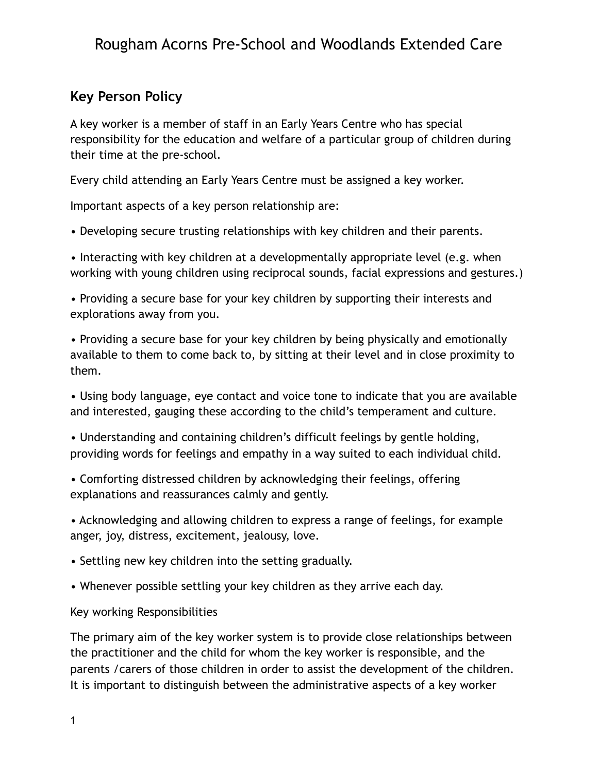## Rougham Acorns Pre-School and Woodlands Extended Care

## **Key Person Policy**

A key worker is a member of staff in an Early Years Centre who has special responsibility for the education and welfare of a particular group of children during their time at the pre-school.

Every child attending an Early Years Centre must be assigned a key worker.

Important aspects of a key person relationship are:

• Developing secure trusting relationships with key children and their parents.

• Interacting with key children at a developmentally appropriate level (e.g. when working with young children using reciprocal sounds, facial expressions and gestures.)

• Providing a secure base for your key children by supporting their interests and explorations away from you.

• Providing a secure base for your key children by being physically and emotionally available to them to come back to, by sitting at their level and in close proximity to them.

• Using body language, eye contact and voice tone to indicate that you are available and interested, gauging these according to the child's temperament and culture.

• Understanding and containing children's difficult feelings by gentle holding, providing words for feelings and empathy in a way suited to each individual child.

• Comforting distressed children by acknowledging their feelings, offering explanations and reassurances calmly and gently.

• Acknowledging and allowing children to express a range of feelings, for example anger, joy, distress, excitement, jealousy, love.

• Settling new key children into the setting gradually.

• Whenever possible settling your key children as they arrive each day.

Key working Responsibilities

The primary aim of the key worker system is to provide close relationships between the practitioner and the child for whom the key worker is responsible, and the parents /carers of those children in order to assist the development of the children. It is important to distinguish between the administrative aspects of a key worker